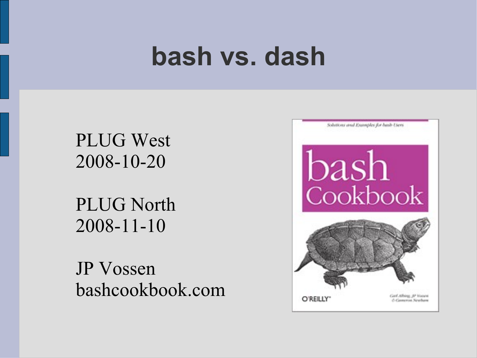#### **bash vs. dash**

#### PLUG West 2008-10-20

PLUG North 2008-11-10

JP Vossen bashcookbook.com

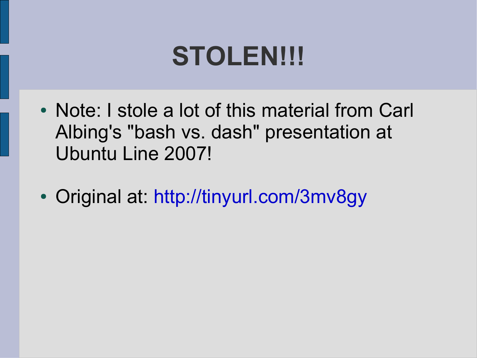#### **STOLEN!!!**

- Note: I stole a lot of this material from Carl Albing's "bash vs. dash" presentation at Ubuntu Line 2007!
- Original at:<http://tinyurl.com/3mv8gy>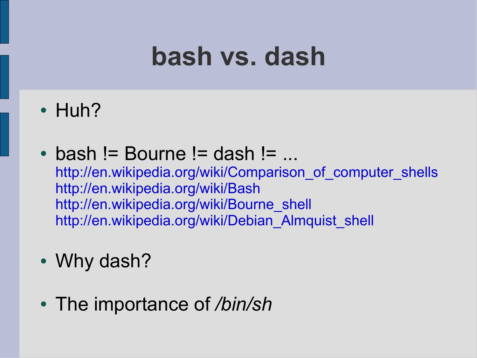#### **bash vs. dash**

- $\cdot$  Huh?
- $\bullet$  bash != Bourne != dash != ... http://en.wikipedia.org/wiki/Comparison of computer shells <http://en.wikipedia.org/wiki/Bash> [http://en.wikipedia.org/wiki/Bourne\\_shell](http://en.wikipedia.org/wiki/Bourne_shell) [http://en.wikipedia.org/wiki/Debian\\_Almquist\\_shell](http://en.wikipedia.org/wiki/Debian_Almquist_shell)
- Why dash?
- The importance of */bin/sh*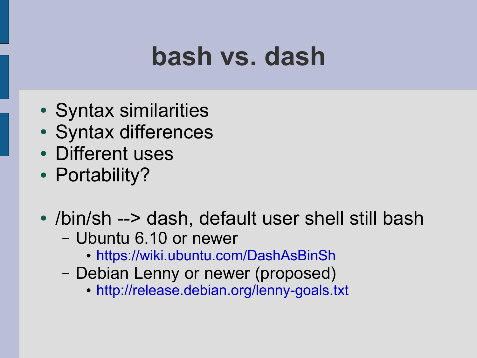#### **bash vs. dash**

- Syntax similarities
- Syntax differences
- Different uses
- Portability?
- /bin/sh --> dash, default user shell still bash
	- Ubuntu 6.10 or newer
		- <https://wiki.ubuntu.com/DashAsBinSh>
	- Debian Lenny or newer (proposed)
		- <http://release.debian.org/lenny-goals.txt>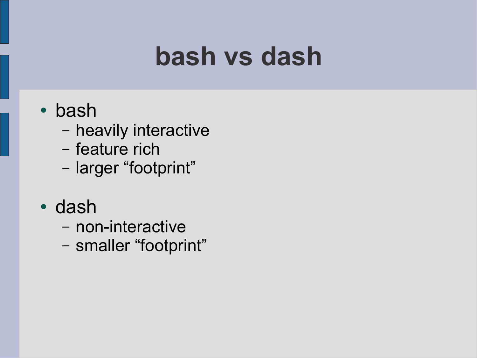#### **bash vs dash**

#### • bash

- heavily interactive
- feature rich
- larger "footprint"
- dash
	- non-interactive
	- smaller "footprint"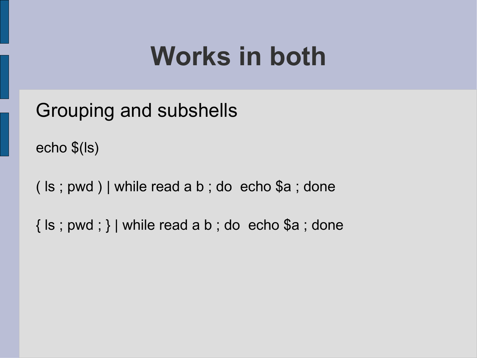Grouping and subshells

echo \$(ls)

( ls ; pwd ) | while read a b ; do echo \$a ; done

 $\{ \text{ls} \, ; \, \text{pwd} \, ; \}$  while read a b ; do echo \$a ; done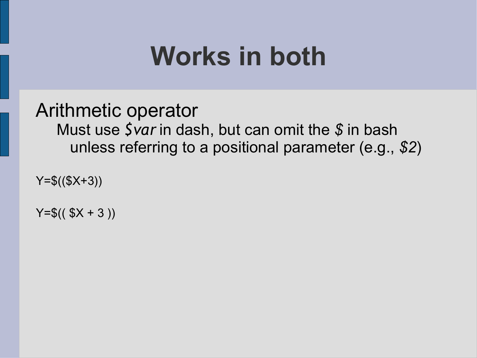Arithmetic operator Must use *\$var* in dash, but can omit the *\$* in bash unless referring to a positional parameter (e.g., *\$2*)

 $Y = $(\$X + 3)$$ 

 $Y = $(f, f) \in X + 3)$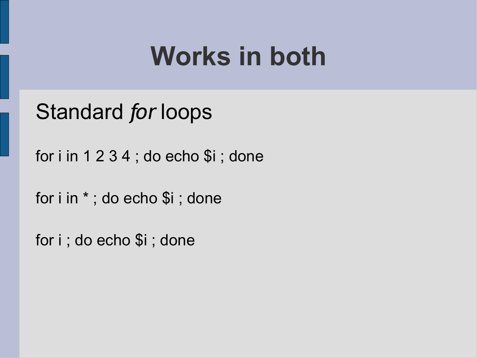Standard *for* loops

for  $i$  in 1 2 3 4 ; do echo  $i$  ; done

for i in \* ; do echo \$i ; done

for i ; do echo \$i ; done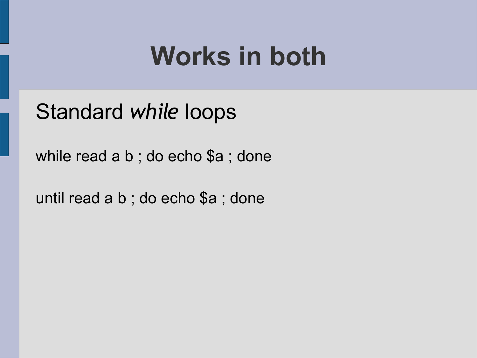Standard *while* loops

while read a b ; do echo \$a ; done

until read a b ; do echo \$a ; done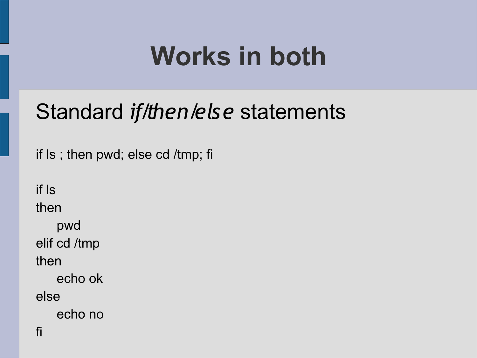#### Standard *if/then/else* statements

if ls ; then pwd; else cd /tmp; fi

if ls then pwd elif cd /tmp then echo ok else echo no fi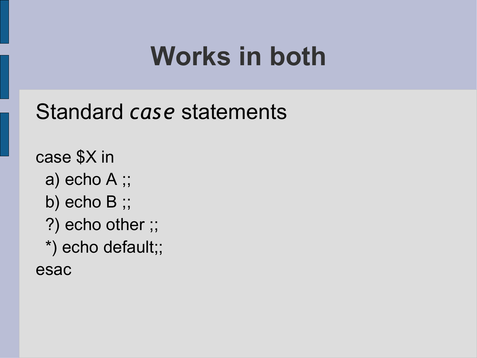#### Standard *case* statements

case \$X in

- a) echo A ;;
- b) echo B ;;
- ?) echo other ;;
- \*) echo default;;

esac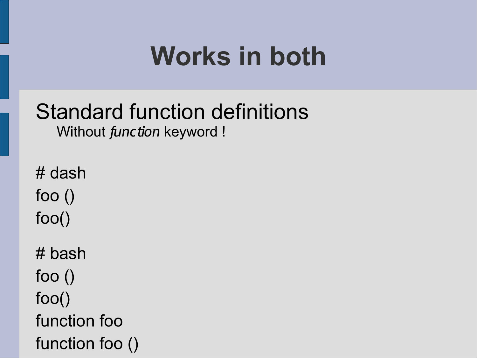#### Standard function definitions Without *function* keyword !

# dash foo () foo() # bash foo () foo() function foo function foo ()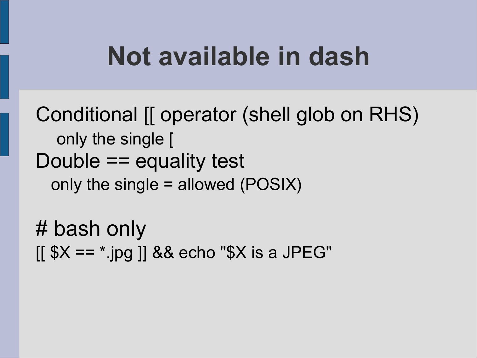#### **Not available in dash**

Conditional [[ operator (shell glob on RHS) only the single [ Double == equality test only the single = allowed (POSIX)

# bash only  $[$ [ \$X ==  $*$ .jpg ]] && echo "\$X is a JPEG"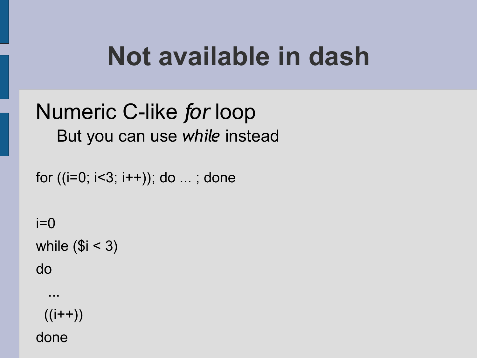#### **Not available in dash**

#### Numeric C-like *for* loop But you can use *while* instead

for  $((i=0; i<3; i++)$ ; do ...; done

 $i=0$ while  $($i < 3)$ 

do

 ...  $((i++)$ 

done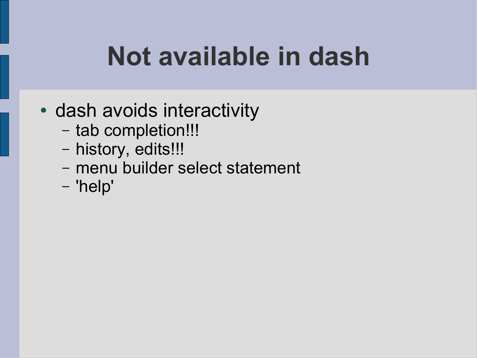## **Not available in dash**

- dash avoids interactivity
	- tab completion!!!
	- history, edits!!!
	- menu builder select statement
	- 'help'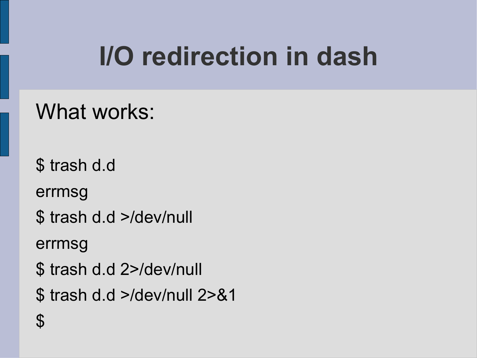# **I/O redirection in dash**

What works:

\$ trash d.d errmsg \$ trash d.d >/dev/null errmsg \$ trash d.d 2>/dev/null \$ trash d.d >/dev/null 2>&1 \$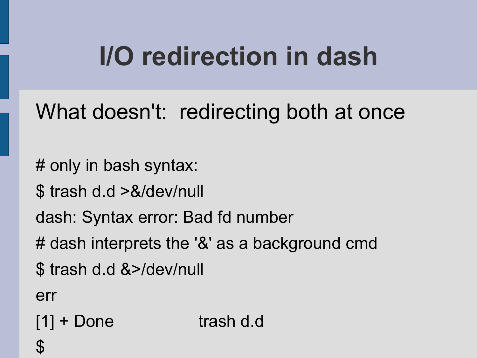# **I/O redirection in dash**

What doesn't: redirecting both at once

# only in bash syntax:

\$ trash d.d >&/dev/null

dash: Syntax error: Bad fd number

# dash interprets the '&' as a background cmd

\$ trash d.d &>/dev/null

err

[1] + Done trash d.d

 $\boldsymbol{\varphi}$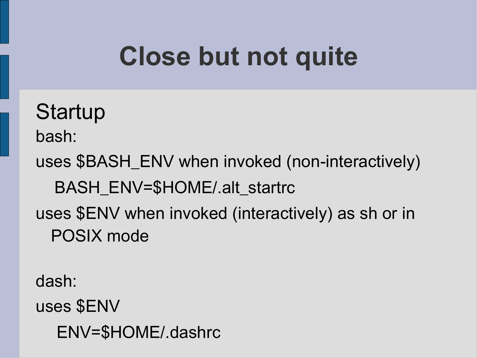# **Close but not quite**

**Startup** bash: uses \$BASH\_ENV when invoked (non-interactively) BASH\_ENV=\$HOME/.alt\_startrc uses \$ENV when invoked (interactively) as sh or in POSIX mode

dash:

uses \$ENV

ENV=\$HOME/.dashrc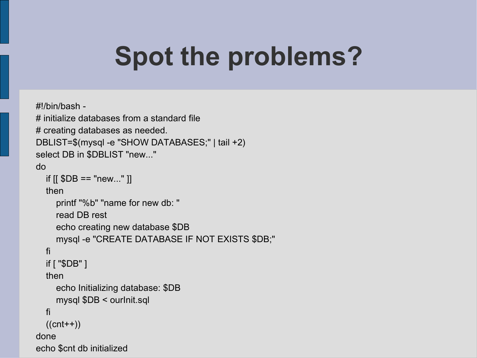## **Spot the problems?**

```
#!/bin/bash -
# initialize databases from a standard file
# creating databases as needed.
DBLIST=$(mysql -e "SHOW DATABASES;" | tail +2)
select DB in $DBLIST "new..."
do
  if [[ $DB == "new..." ]]
   then
      printf "%b" "name for new db: "
      read DB rest
      echo creating new database $DB
      mysql -e "CREATE DATABASE IF NOT EXISTS $DB;"
   fi
   if [ "$DB" ]
   then
      echo Initializing database: $DB
      mysql $DB < ourInit.sql
   fi
  ((cnt++)done
echo $cnt db initialized
```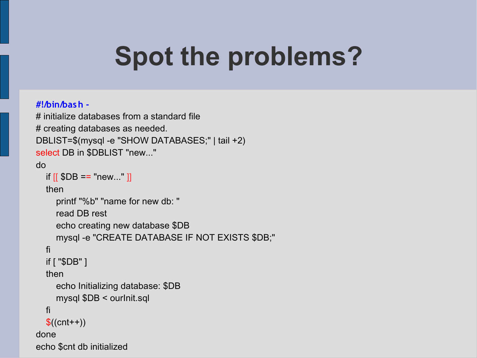## **Spot the problems?**

#### **#!/bin/bash -**

```
# initialize databases from a standard file
# creating databases as needed.
DBLIST=$(mysql -e "SHOW DATABASES;" | tail +2)
select DB in $DBLIST "new..."
do
  if [[ $DB == "new..." ]]
   then
      printf "%b" "name for new db: "
      read DB rest
      echo creating new database $DB
      mysql -e "CREATE DATABASE IF NOT EXISTS $DB;"
   fi
   if [ "$DB" ]
   then
      echo Initializing database: $DB
      mysql $DB < ourInit.sql
   fi
  $(\text{cnt++})done
echo $cnt db initialized
```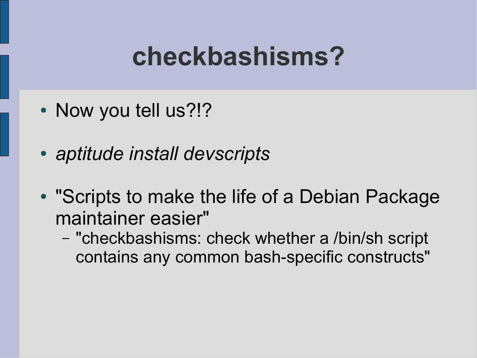#### **checkbashisms?**

- Now you tell us?!?
- *aptitude install devscripts*
- "Scripts to make the life of a Debian Package maintainer easier"
	- "checkbashisms: check whether a /bin/sh script contains any common bash-specific constructs"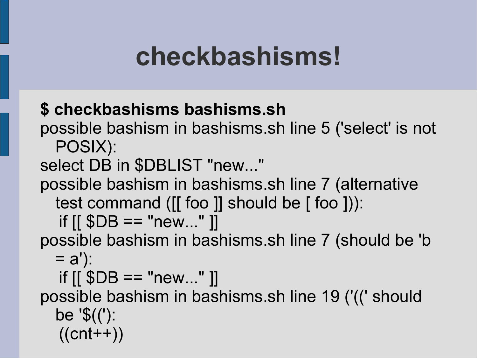#### **checkbashisms!**

#### **\$ checkbashisms bashisms.sh**

possible bashism in bashisms.sh line 5 ('select' is not POSIX):

select DB in \$DBLIST "new..."

possible bashism in bashisms.sh line 7 (alternative test command ([[ foo ]] should be [ foo ])):

if  $[$ [  $$DB == "new..."$ ]]

possible bashism in bashisms.sh line 7 (should be 'b  $= a$ ):

if  $[$ [  $$DB == "new..."$ ]]

possible bashism in bashisms.sh line 19 ('((' should be '\$(('):  $((cnt++)$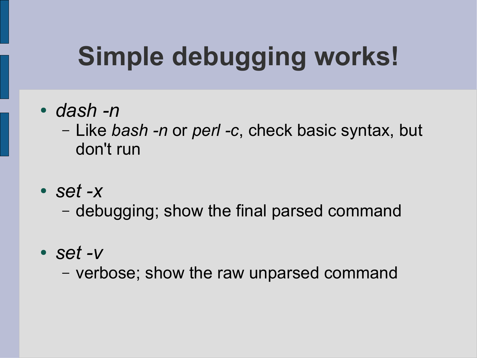# **Simple debugging works!**

● *dash -n*

– Like *bash -n* or *perl -c*, check basic syntax, but don't run

● *set -x*

– debugging; show the final parsed command

● *set -v*

– verbose; show the raw unparsed command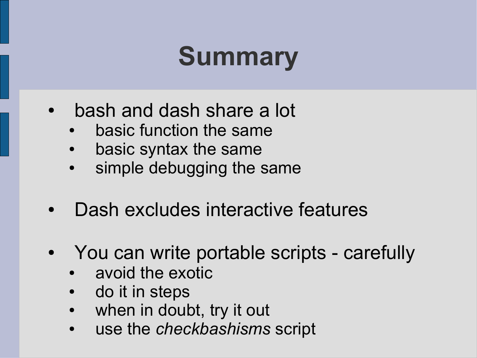# **Summary**

- bash and dash share a lot
	- basic function the same
	- basic syntax the same
	- simple debugging the same
- Dash excludes interactive features
- You can write portable scripts carefully
	- avoid the exotic
	- do it in steps
	- when in doubt, try it out
	- use the *checkbashisms* script